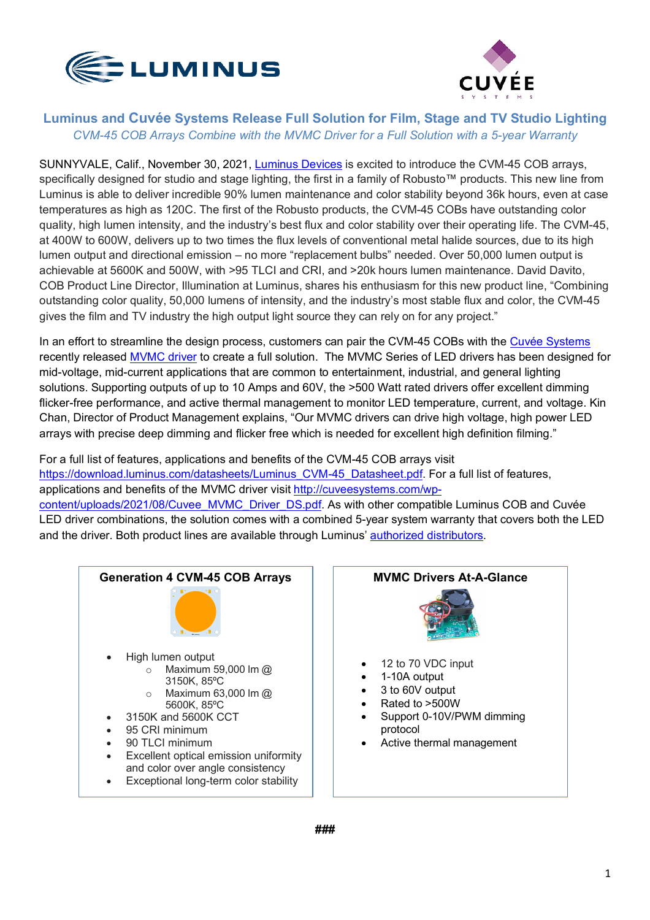



## **Luminus and Cuvée Systems Release Full Solution for Film, Stage and TV Studio Lighting** *CVM-45 COB Arrays Combine with the MVMC Driver for a Full Solution with a 5-year Warranty*

SUNNYVALE, Calif., November 30, 2021, [Luminus Devices](www.luminus.com) is excited to introduce the CVM-45 COB arrays, specifically designed for studio and stage lighting, the first in a family of Robusto™ products. This new line from Luminus is able to deliver incredible 90% lumen maintenance and color stability beyond 36k hours, even at case temperatures as high as 120C. The first of the Robusto products, the CVM-45 COBs have outstanding color quality, high lumen intensity, and the industry's best flux and color stability over their operating life. The CVM-45, at 400W to 600W, delivers up to two times the flux levels of conventional metal halide sources, due to its high lumen output and directional emission – no more "replacement bulbs" needed. Over 50,000 lumen output is achievable at 5600K and 500W, with >95 TLCI and CRI, and >20k hours lumen maintenance. David Davito, COB Product Line Director, Illumination at Luminus, shares his enthusiasm for this new product line, "Combining outstanding color quality, 50,000 lumens of intensity, and the industry's most stable flux and color, the CVM-45 gives the film and TV industry the high output light source they can rely on for any project."

In an effort to streamline the design process, customers can pair the CVM-45 COBs with the [Cuvée Systems](www.cuveesystems.com) recently released [MVMC driver](http://cuveesystems.com/wp-content/uploads/2021/08/Cuvee_MVMC_Driver_DS.pdf) to create a full solution. The MVMC Series of LED drivers has been designed for mid-voltage, mid-current applications that are common to entertainment, industrial, and general lighting solutions. Supporting outputs of up to 10 Amps and 60V, the >500 Watt rated drivers offer excellent dimming flicker-free performance, and active thermal management to monitor LED temperature, current, and voltage. Kin Chan, Director of Product Management explains, "Our MVMC drivers can drive high voltage, high power LED arrays with precise deep dimming and flicker free which is needed for excellent high definition filming."

For a full list of features, applications and benefits of the CVM-45 COB arrays visit [https://download.luminus.com/datasheets/Luminus\\_CVM-45\\_Datasheet.pdf. Fo](https://download.luminus.com/datasheets/Luminus_CVM-45_Datasheet.pdf)r a full list of features, applications and benefits of the MVMC driver visit [http://cuveesystems.com/wp](http://cuveesystems.com/wp-content/uploads/2021/08/Cuvee_MVMC_Driver_DS.pdf)[content/uploads/2021/08/Cuvee\\_MVMC\\_Driver\\_DS.pdf. As with other compatible](http://cuveesystems.com/wp-content/uploads/2021/08/Cuvee_MVMC_Driver_DS.pdf) Luminus COB and Cuvée LED driver combinations, the solution comes with a combined 5-year system warranty that covers both the LED and the driver. Both product lines are available through Luminus' [authorized distributors.](https://www.luminus.com/contact/wheretobuy)



## **MVMC Drivers At-A-Glance**



- 12 to 70 VDC input
- 1-10A output
- 3 to 60V output
- Rated to >500W
- Support 0-10V/PWM dimming protocol
- Active thermal management